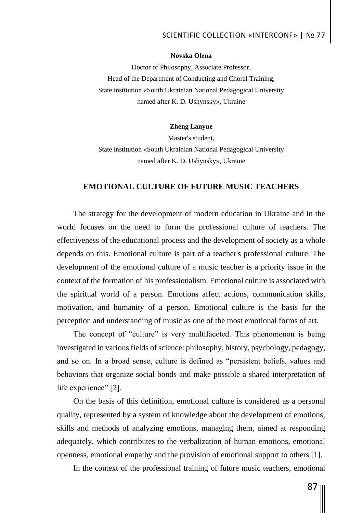# SCIENTIFIC COLLECTION «INTERCONF» | № 77

#### **Novska Olena**

Doctor of Philosophy, Associate Professor, Head of the Department of Conducting and Choral Training, State institution «South Ukrainian National Pedagogical University named after K. D. Ushynsky», Ukraine

### **Zheng Lanyue**

Master's student, State institution «South Ukrainian National Pedagogical University named after K. D. Ushynsky», Ukraine

## **EMOTIONAL CULTURE OF FUTURE MUSIC TEACHERS**

The strategy for the development of modern education in Ukraine and in the world focuses on the need to form the professional culture of teachers. The effectiveness of the educational process and the development of society as a whole depends on this. Emotional culture is part of a teacher's professional culture. The development of the emotional culture of a music teacher is a priority issue in the context of the formation of his professionalism. Emotional culture is associated with the spiritual world of a person. Emotions affect actions, communication skills, motivation, and humanity of a person. Emotional culture is the basis for the perception and understanding of music as one of the most emotional forms of art.

The concept of "culture" is very multifaceted. This phenomenon is being investigated in various fields of science: philosophy, history, psychology, pedagogy, and so on. In a broad sense, culture is defined as "persistent beliefs, values and behaviors that organize social bonds and make possible a shared interpretation of life experience" [2].

On the basis of this definition, emotional culture is considered as a personal quality, represented by a system of knowledge about the development of emotions, skills and methods of analyzing emotions, managing them, aimed at responding adequately, which contributes to the verbalization of human emotions, emotional openness, emotional empathy and the provision of emotional support to others [1].

In the context of the professional training of future music teachers, emotional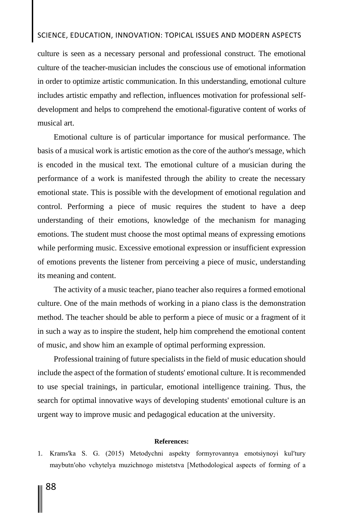## SCIENCE, EDUCATION, INNOVATION: TOPICAL ISSUES AND MODERN ASPECTS

culture is seen as a necessary personal and professional construct. The emotional culture of the teacher-musician includes the conscious use of emotional information in order to optimize artistic communication. In this understanding, emotional culture includes artistic empathy and reflection, influences motivation for professional selfdevelopment and helps to comprehend the emotional-figurative content of works of musical art.

Emotional culture is of particular importance for musical performance. The basis of a musical work is artistic emotion as the core of the author's message, which is encoded in the musical text. The emotional culture of a musician during the performance of a work is manifested through the ability to create the necessary emotional state. This is possible with the development of emotional regulation and control. Performing a piece of music requires the student to have a deep understanding of their emotions, knowledge of the mechanism for managing emotions. The student must choose the most optimal means of expressing emotions while performing music. Excessive emotional expression or insufficient expression of emotions prevents the listener from perceiving a piece of music, understanding its meaning and content.

The activity of a music teacher, piano teacher also requires a formed emotional culture. One of the main methods of working in a piano class is the demonstration method. The teacher should be able to perform a piece of music or a fragment of it in such a way as to inspire the student, help him comprehend the emotional content of music, and show him an example of optimal performing expression.

Professional training of future specialists in the field of music education should include the aspect of the formation of students' emotional culture. It is recommended to use special trainings, in particular, emotional intelligence training. Thus, the search for optimal innovative ways of developing students' emotional culture is an urgent way to improve music and pedagogical education at the university.

#### **References:**

1. Krams'ka S. G. (2015) Metodychni aspekty formyrovannya emotsiynoyi kul'tury maybutn'oho vchytelya muzichnogo mistetstva [Methodological aspects of forming of a